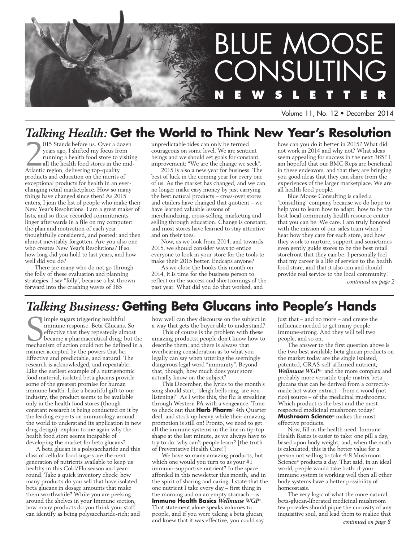

Volume 11, No. 12 • December 2014

## *Talking Health:* **Get the World to Think New Year's Resolution**

2015 Stands before us. Over a do years ago, I shifted my focus from running a health food store to vall the health food stores in the Atlantic region, delivering top-quality 015 Stands before us. Over a dozen years ago, I shifted my focus from running a health food store to visiting all the health food stores in the midproducts and education on the merits of exceptional products for health in an everchanging retail marketplace. How so many things have changed since then! As 2015 enters, I join the list of people who make their New Year's Resolutions. I am a great maker of lists, and so these recorded commitments linger afterwards in a file on my computer: the plan and motivation of each year thoughtfully considered, and posted: and then almost inevitably forgotten. Are you also one who creates New Year's Resolutions? If so, how long did you hold to last years, and how well did you do?

There are many who do not go through the folly of these evaluation and planning strategies. I say "folly", because a list thrown forward into the crashing waves of 365

unpredictable tides can only be termed courageous on some level. We are sentient beings and we should set goals for constant improvement: "We are the change we seek".

2015 is also a new year for business. The best of luck in the coming year for every one of us. As the market has changed, and we can no longer make easy money by just carrying the best natural products – cross-over stores and etailers have changed that quotient – we have learned valuable lessons of merchandizing, cross-selling, marketing and selling through education. Change is constant, and most stores have learned to stay attentive and on their toes.

Now, as we look from 2014, and towards 2015, we should consider ways to entice everyone to look in your store for the tools to make their 2015 better. Endcaps anyone?

As we close the books this month on 2014, it is time for the business person to reflect on the success and shortcomings of the past year. What did you do that worked, and

how can you do it better in 2015? What did not work in 2014 and why not? What ideas seem appealing for success in the next 365? I am hopeful that our BMC Reps are beneficial in these endeavors, and that they are bringing you good ideas that they can share from the experiences of the larger marketplace. We are all health food people.

Blue Moose Consulting is called a "consulting" company because we do hope to help you to learn how to adapt, how to be the best local community health resource center that you can be. We care. I am truly honored with the mission of our sales team when I hear how they care for each store, and how they work to nurture, support and sometimes even gently guide stores to be the best retail storefront that they can be. I personally feel that my career is a life of service to the health food store, and that it also can and should provide real service to the local community!

*continued on page 2*

## *Talking Business:* **Getting Beta Glucans into People's Hands**

Sommune response. Beta Glucans. Sometricity is effective that they repeatedly almost became a pharmaceutical drug: but the mechanism of action could not be defined in a imple sugars triggering healthful immune response. Beta Glucans. So effective that they repeatedly almost became a pharmaceutical drug: but the manner accepted by the powers that be. Effective and predictable, and natural. The research is acknowledged, and repeatable. Like the earliest example of a nutrigenomic food material, isolated beta glucans provide some of the greatest promise for human immune health. Like a beautiful gift to our industry, the product seems to be available only in the health food stores (though constant research is being conducted on it by the leading experts on immunology around the world to understand its application in new drug design): explain to me again why the health food store seems incapable of developing the market for beta glucans?

A beta glucan is a polysaccharide and this class of cellular food sugars are the next generation of nutrients available to keep us healthy in this Cold/Flu season and yearround. Take a quick inventory check: how many products do you sell that have isolated beta glucans in dosage amounts that make them worthwhile? While you are peeking around the shelves in your Immune section, how many products do you think your staff can identify as being polysaccharide-rich; and how well can they discourse on the subject in a way that gets the buyer able to understand?

This of course is the problem with these amazing products: people don't know how to describe them, and there is always that overbearing consideration as to what you legally can say when uttering the seemingly dangerous legal word "immunity". Beyond that, though, how much does your store actually know on the subject?

This December, the lyrics to the month's song should start, "sleigh bells ring, are you listening?" As I write this, the flu is streaking through Western PA with a vengeance. Time to check out that **Herb Pharm**® 4th Quarter deal, and stock up heavy while their amazing promotion is still on! Pronto, we need to get all the immune systems in the line in tip-top shape at the last minute, as we always have to try to do: why can't people learn? [the truth of Preventative Health Care!]

We have so many amazing products, but which one would you turn to as your #1 immuno-supportive nutrient? In the space afforded in this newsletter this month, and in the spirit of sharing and caring, I state that the one nutrient I take every day – first thing in the morning and on an empty stomach – is **Immune Health Basics** *Wellmune WGP*®. That statement alone speaks volumes to people, and if you were taking a beta glucan, and knew that it was effective, you could say

just that – and no more – and create the influence needed to get many people immune-strong. And they will tell two people, and so on.

The answer to the first question above is the two best available beta glucan products on the market today are the single isolated, patented, GRAS-self affirmed nutrient, *Wellmune WGP*®: and the more complex and probably more versatile triple matrix beta glucans that can be derived from a correctlymade hot water extract – from a wood (not rice) source – of the medicinal mushrooms. Which product is the best and the most respected medicinal mushroom today? **Mushroom Science**® makes the most effective products.

Now, fill in the health need. Immune Health Basics is easier to take: one pill a day, based upon body weight; and, when the math is calculated, this is the better value for a person not willing to take 4-8 Mushroom Science® products a day. That said, in an ideal world, people would take both: if your immune system is working well then all other body systems have a better possibility of homeostasis.

The very logic of what the more natural, beta-glucan-liberated medicinal mushroom tea provides should pique the curiosity of any inquisitive soul, and lead them to realize that *continued on page 8*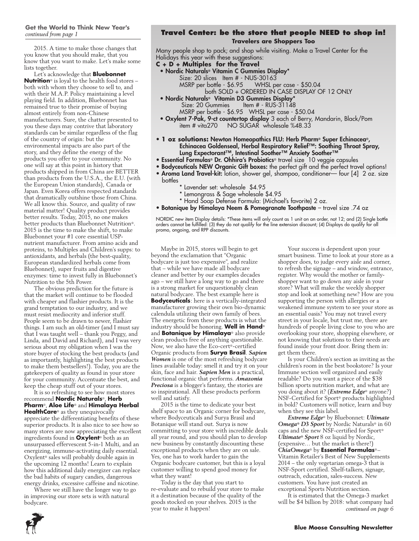### **Get the World to Think New Year's** *continued from page 1*

2015. A time to make those changes that you know that you should make, that you know that you want to make. Let's make some lists together.

Let's acknowledge that **Bluebonnet Nutrition**® is loyal to the health food stores – both with whom they choose to sell to, and with their M.A.P. Policy maintaining a level playing field. In addition, Bluebonnet has remained true to their promise of buying almost entirely from non-Chinese manufacturers. Sure, the chatter presented to you these days may contrive that laboratory standards can be similar regardless of the flag of the country of origin: but the environmental impacts are also part of the story, and they define the energy of the products you offer to your community. No one will say at this point in history that products shipped in from China are BETTER than products from the U.S.A., the E.U. (with the European Union standards), Canada or Japan. Even Korea offers respected standards that dramatically outshine those from China. We all know this. Source, and quality of raw material matter! Quality product provides better results. Today, 2015, no one makes better products than Bluebonnet Nutrition®. 2015 is the time to make the shift, to make Bluebonnet your #1 core essential USPnutrient manufacturer. From amino acids and proteins, to Multiples and Children's supps: to antioxidants, and herbals (the best-quality, European standardized herbals come from Bluebonnet), super fruits and digestive enzymes: time to invest fully in Bluebonnet's Nutrition to the 5th Power.

The obvious prediction for the future is that the market will continue to be flooded with cheaper and flashier products. It is the grand temptation to our industry, and we must resist mediocrity and inferior stuff. People seem to be drawn to newer, flashier things. I am such an old-timer (and I must say that I was taught well – thank you Peggy, and Linda, and David and Richard), and I was very serious about my obligation when I was the store buyer of stocking the best products (and as importantly, highlighting the best products to make them bestsellers!). Today, you are the gatekeepers of quality as found in your store for your community. Accentuate the best, and keep the cheap stuff out of your stores.

It is so refreshing to see how most stores recommend **Nordic Naturals**®, **Herb Pharm**®, **Aloe Life**® and **Himalaya Herbal HealthCare**® as they unequivocally appreciate the differentiating benefits of these superior products. It is also nice to see how so many stores are now appreciating the excellent ingredients found in **Oxylent**® both as an unsurpassed effervescent 5-in-1 Multi, and an energizing, immune-activating daily essential. Oxylent® sales will probably double again in the upcoming 12 months! Learn to explain how this additional daily energizer can replace the bad habits of sugary candies, dangerous energy drinks, excessive caffeine and nicotine.

Where we still have the longer way to go in improving our store sets is with natural bodycare.

### **Travel Center: be the store that people NEED to shop in! Travelers are Shoppers Too**

Many people shop to pack; and shop while visiting. Make a Travel Center for the Holidays this year with these suggestions:

- **C + D + Multiples for the Travel**
	- Nordic Naturals® Vitamin C Gummies Display\*
		- Size: 20 slices Item # NUS-30163
			- MSRP per bottle \$6.95 WHSL per case \$50.04
				- both SOLD + ORDERED IN CASE DISPLAY OF 12 ONLY
- Nordic Naturals® Vitamin D3 Gummies Display\* Size: 20 Gummies Item # - RUS-31148 MSRP per bottle - \$6.95 WHSL per case - \$50.04
- Oxylent 7-Pak, 9-ct countertop display 3 each of Berry, Mandarin, Black/Pom item # vita270 NO SUGAR wholesale %48.33
- **1 oz solutions:** Newton Homeopathics FLU: Herb Pharm® Super Echinacea®, Echinacea Goldenseal, Herbal Respiratory Relief™: Soothing Throat Spray, Lung Expectorant™, Intestinal Soother™ Anxiety Soother™
- Essential Formulas® Dr. Ohhira's Probiotics® travel size 10 veggie capsules
- Bodyceuticals NEW Organic Gift boxes: the perfect gift and the perfect travel options!
- Aroma Land Travel-kit: lotion, shower gel, shampoo, conditioner— four [4] 2 oz. size bottles
	- \* Lavender set: wholesale \$4.95
		- \* Lemongrass & Sage wholesale \$4.95
	- \* Hand Soap Defense Formula: (Michael's favorite) 2 oz.
- Botanique by Himalaya Neem & Pomegranate Toothpaste travel size .74 oz

NORDIC new item Display details: \*These items will only count as 1 unit on an order, not 12; and (2) Single bottle orders cannot be fulfilled: (3) they do not qualify for the line extension discount; (4) Displays do qualify for all promo, ongoing, and RPP discounts.

Maybe in 2015, stores will begin to get beyond the exclamation that "Organic bodycare is just too expensive", and realize that – while we have made all bodycare cleaner and better by our examples decades ago – we still have a long way to go and there is a strong market for unquestionably clean natural bodycare. The best example here is **Bodyceuticals**: here is a vertically-integrated manufacturer growing their own bio-dynamic calendula utilizing their own family of bees. The energetic from these products is what the industry should be honoring. **Well in Hand**® and **Botanique by Himalaya**® also provide clean products free of anything questionable. Now, we also have the Eco-cert®-certified Organic products from **Surya Brasil**. *Sapien Women* is one of the most refreshing bodycare lines available today: smell it and try it on your skin, face and hair. *Sapien Men* is a practical, functional organic that performs. *Amazonia Preciosa* is a blogger's fantasy, the stories are so inspirational. All these products perform well and satisfy.

2015 is the time to dedicate your best shelf space to an Organic corner for bodycare, where Bodyceuticals and Surya Brasil and Botanique will stand out. Surya is now committing to your store with incredible deals all year round, and you should plan to develop new business by constantly discounting these exceptional products when they are on sale. Yes, one has to work harder to gain the Organic bodycare customer, but this is a loyal customer willing to spend good money for what they want!

Today is the day that you start to re-evaluate and to rebuild your store to make it a destination because of the quality of the goods stocked on your shelves. 2015 is the year to make it happen!

Your success is dependent upon your smart business. Time to look at your store as a shopper does, to judge every aisle and corner, to refresh the signage – and window, entrance, register. Why would the mother or familyshopper want to go down any aisle in your store? What will make the weekly shopper stop and look at something new? How are you supporting the person with allergies or a weakened immune system to see your store as an essential oasis? You may not travel every street in your locale, but trust me, there are hundreds of people living close to you who are overlooking your store, shopping elsewhere, or not knowing that solutions to their needs are found inside your front door. Bring them in: get them there.

Is your Children's section as inviting as the children's room in the best bookstore? Is your Immune section well organized and easily readable? Do you want a piece of the \$38 billion sports nutrition market, and what are you doing about it? (*Extreme Edge*® anyone?) NSF-Certified for Sport® products highlighted in bold? Customers will notice, learn and buy when they see this label.

*Extreme Edge*® by Bluebonnet: *Ultimate Omega® D3 Sport* by Nordic Naturals® in 60 caps and the new NSF-certified for Sport® *Ultimate® Sport* 8 oz liquid by Nordic, (expensive… but the market is there!) *ChiaOmega*® by **Essential Formulas**® – Vitamin Retailer's Best of New Supplements 2014 – the only vegetarian omega-3 that is NSF-Sport certified. Shelf-talkers, signage, outreach, education, sales-success. New customers. You have just created an exceptional Sports Nutrition section.

It is estimated that the Omega-3 market will be \$4 billion by 2018: what company had *continued on page 6*

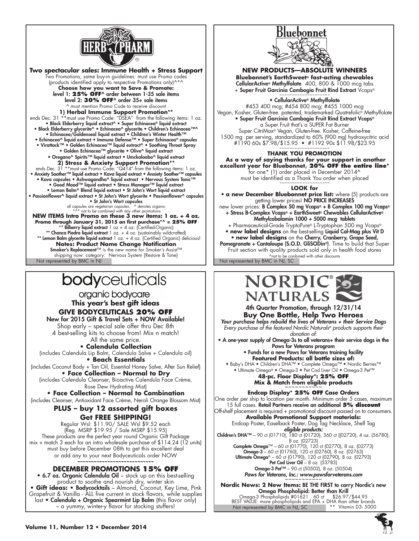

shipping now: category: Nervous System {Kestore & lone} and the presented by BMC in NJ, SC ^not to be combined with other discounts<br>Not represented by BMC in NJ, SC ^0. NOt represented by BMC in NJ, SC ^0. NOT represented **Two spectacular sales: Immune Health + Stress Support** Two Promotions, same buy-in guidelines: must use Promo codes (products identified apply to respective Promotions only)^\*^ **Choose how you want to Save & Promote:** level 1: **25% OFF**^ order between 1-35 sale items level 2: **30% OFF**^ order 35+ sale items ^ must mention Promo Code to receive discount **1) Herbal Immune Support Promotion\*\*** ends Dec. 31 \*\*must use Promo Code: "DSEA" from the following items: 1 oz. • Black Elderberry liquid extract^ • Super Echinacea® liquid extract • Black Elderberry glycerite^ • Echinacea^ glycerite • Children's Echinacea™^ • Echinacea/Goldenseal liquid extract • Children's Winter Health™ • Echinacea^ liquid extract • Immune Defense™ • Super Echinacea® capsules • Virattack™ • Golden Echinacea™ liquid extract^ • Soothing Throat Spray • Golden Echinacea™ glycerite • Olive^ liquid extract • Oregano^ Spirits™ liquid extract • Umckaloabo^ liquid extract **2) Stress & Anxiety Support Promotion\*\***<br>ends Dec. 31 \*\*must use Promo Code: "Q414" from the following items: 1 oz.<br>Anxiety Soother™ liquid extract • Kava liquid extract • Anxiety Soother™ capsules • Kava capsules • Ashwagandha^ liquid extract • Nervous System Tonic™ • Good Mood™ liquid extract • Stress Manager™ liquid extract • Lemon Balm^ Blend liquid extract • St John's Wort liquid extract • Passionflower^ liquid extract • St John's Wort glycerite • Passionflower^ capsules • St John's Wort capsules all capsules are vegetarian capsules. ^ denotes organic \*^\* not to be combined with any other promotions **NEW ITEMS Intro Promo on these 3 new items: 1 oz. + 4 oz. Promo through January 31, 2015 on first purchase\*^ = 25% OFF** \*\* Bilberry liquid extract  $1 \text{ oz} + 4 \text{ oz}$ . (Certified-Organic) \*\* Chanca Piedra liquid extract  $1$  oz.  $+$  4 oz. (sustainably wildcrafted) \*\* Lemon Balm glycerite liquid extract 1 oz. + 4 oz. (Certified Organic) delicious! **Notes: Product Name Change Notification** Smoker's Replacement™ is the new name for Smoker's Assist™ shipping now: category: Nervous System {Restore & Tone}<br>Not represented by BMC in NJ

# bodyceuticals

organic bodycare **This year's best gift ideas GIVE BODYCEUTICALS 20% OFF** New for 2015 Gift & Travel Sets + NOW Available! Shop early – special sale offer thru Dec 8th

4 best-selling kits to choose from! Mix n match! All the same price.

**• Calendula Collection** (includes Calendula Lip Balm, Calendula Salve + Calendula oil) **• Beach Essentials**

(includes Coconut Body + Tan Oil, Essential Honey Salve, After Sun Relief) **• Face Collection – Normal to Dry**

(includes Calendula Cleanser, Bioactive Calendula Face Crème, Rose Dew Hydrating Mist)

**• Face Collection – Normal to Combination** (includes Cleanser, Antioxidant Face Crème, Neroli Orange Blossom Mist)

### **PLUS – buy 12 assorted gift boxes Get FREE SHIPPING!**

Regular Wsl: \$11.90/ SALE Wsl \$9.52 each (Reg. MSRP \$19.95 / Sale MSRP \$15.95) These products are the perfect year round Organic Gift Package mix + match 3 each for an intro wholesale purchase of \$114.24 (12 units) must buy before December 08th to get this excellent deal or add any to your next Bodyceuticals order NOW **~~~~~~~~~~~~~~~~~~~~~~~~~~~~**

### **DECEMBER PROMOTIONS 15% OFF**

• 6.7 oz. Organic Calendula Oil – stock up on this best-selling product to soothe and nourish dry, winter skin **• Gift ideas: •** Bodycocktails – Almond, Coconut, Key Lime, Pink Grapefruit & Vanilla - ALL five current in stock flavors, while supplies last • Calendula + Organic Spearmint Lip Balm (this flavor only) – a yummy, winter-y flavor for stocking stuffers!



**NEW PRODUCTS—ABSOLUTE WINNERS**

**Bluebonnet's EarthSweet® fast-acting chewables** CellularActive® Methylfolate 400, 800 & 1000 mcg tabs + Super Fruit Garcinia Cambogia Fruit Rind Extract Vcaps® ~~~~~~~~~~<del>~</del>~~~~~~~~

### • CellularActive® Methylfolate

#453 400 mcg; #454 800 mcg; #455 1000 mcg Vegan, Kosher, Gluten-free. patented, trademarked Quatrefolic® Methylfolate • Super Fruit Garcinia Cambogia Fruit Rind Extract Vcaps® a Super Fruit that's a SUPER Fat Burner Super CitriMax® Vegan, Gluten-free. Kosher, Caffeine-free 1500 mg per serving, standardized to 60% (900 mg) hydroxycitric acid #1190 60s \$7.98/\$15.95 • #1192 90s \$11.98/\$23.95

### **THANK YOU PROMOTION**

 **As a way of saying thanks for your support in another excellent year for Bluebonnet, 20% OFF the entire line\*** for one\* (1) order placed in December 2014^ must be identified as a Thank You order when placed

### **LOOK for**

• **a new December Bluebonnet price list:** where (5) products are getting lower prices! **NO PRICE INCREASES** 

new lower prices: B Complex 50 mg Vcaps® + B Complex 100 mg Vcaps® + Stress B-Complex Vcaps® + EarthSweet® Chewables CellularActive® Methylcobalamin 1000 + 5000 mcg tablets

+ Pharmaceutical-Grade TryptoPure® L-Tryptophan 500 mg Vcaps® • **new label designs** on the best-selling Liquid Cal-Mag plus Vit D • **new label designs** on the Cherry, Cranberry, Grape Seed, Pomegranate + Cantaloupe (S.O.D. GliSODin®). Time to build that Super

Fruit section with quality products sold only in health food stores





### **Buy One Bottle, Help Two Heroes**

*Your purchase helps rebuild the lives of Veterans + their Service Dogs Every purchase of the featured Nordic Naturals® products supports their donation of:*

• A one-year supply of Omega-3s to all veterans+ their service dogs in the Paws for Veterans program

• Funds for a new Paws for Veterans training facility **Featured Products: all bottle sizes of:**

• Baby's DHA • Children's DHA™ • Complete Omega™ • Nordic Berries™ • Ultimate Omega® • Omega-3 • Pet Cod Liver Oil • Omega-3 Pet™ **48-pc. Floor Display\*: 25% OFF**

**Mix & Match from eligible products** 

### **Endcap Display\* 25% OFF Case Orders**

One order per ship to location per month. Minimum order 5 cases, maximum 15 full cases. Retail Partners receive an additional **5% discount** Off-shelf placement is required + promotional discount passed on to consumers.

**Available Promotional Support materials:**

Endcap Poster, Easelback Poster, Dog Tag Necklace, Shelf Tag **eligible products:**<br>Children's DHA™ – 90 ct (01710), 180 ct (01720), 360 ct ((02720), 4 oz. (56780), 8 oz. (02723) **Complete Omega™** – 60 ct (01770), 120 ct (02770), 8 oz. (02773)

**Omega-3** – 60 ct (01760), 120 ct (02760), 8 oz. (02763) Ultimate Omega® – 60 ct (01790), 120 ct (02790), 8 oz. (02793) Pet Cod Liver Oil – 8 oz. (53783) Omega-3 Pet™ – 90 ct (50502), 8 oz. (50504) *Paws for Veterans, Inc.: www.pawsforveterans.com* 

Not represented by BMC in NJ, SC **Nordic News: 2 New Items:** BE THE FIRST to carry Nordic's new **Omega Phospholipid: Better than Krill**<br>3 Phospholipids #01621 60 ct \$26.97/\$44.95 Omega-3 Phospholipids #01621 60 ct \$26.97/\$44.95 BEST VALUE: more phospholipids and EPA + DHA than other brands Not represented by BMC in NJ, SC \*\* Vitamin D3- 5000

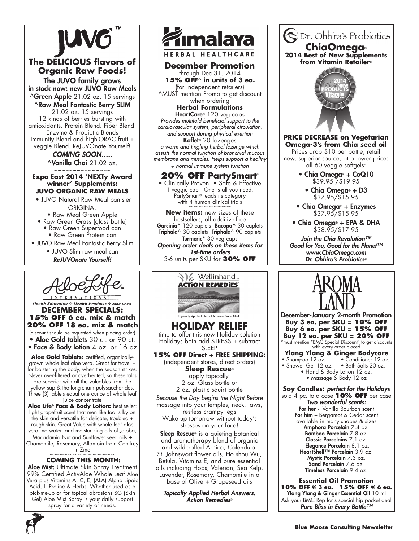

### **The DELICIOUS flavors of Organic Raw Foods!**

The JUVO family grows in stock now: new JUVO Raw Meals ^Green Apple 21.02 oz. 15 servings

^Raw Meal Fantastic Berry SLIM 21.02 oz. 15 servings 12 kinds of berries bursting with antioxidants. Protein Blend. Fiber Blend. Enzyme & Probiotic Blends Immunity Blend and high-ORAC fruit + veggie Blend. ReJUVOnate Yourself!

> *coming soon…..*  $\lambda$ Vanilla Chai 21.02 oz.

#### ~~~~~~~~~~~~~~~ **Expo East 2014 'NEXTy Award winner' Supplements: Juvo Organic Raw Meals**

 • JUVO Natural Raw Meal canister **ORIGINAL** 

• Raw Meal Green Apple

- Raw Green Grass (glass bottle)
	- Raw Green Superfood can • Raw Green Protein can
- JUVO Raw Meal Fantastic Berry Slim
	- JUVO Slim raw meal can *ReJUVOnate Yourself!*



### **Health Education & Health Products & Aloe Vera December Specials: 15% OFF 6 ea. mix & match 20% OFF 18 ea. mix & match**  (discount should be requested when placing order)

• Aloe Gold tablets 30 ct. or 90 ct. • Face & Body lotion 4 oz. or 16 oz

Aloe Gold Tablets: certified, organicallygrown whole leaf aloe vera. Great for travel + for bolstering the body, when the season strikes. Never over-filtered or overheated, so these tabs

are superior with all the valuables from the yellow sap & the long-chain polysaccharides. Three (3) tablets equal one ounce of whole leaf juice concentrate

**Aloe Life® Face & Body Lotion:** best seller: light grapefruit scent that men like too. silky on the skin and versatile for delicate, troubled + rough skin. Great Value with whole leaf aloe vera: no water, and moisturizing oils of Jojoba, Macadamia Nut and Sunflower seed oils +

Chamomile, Rosemary, Allantoin from Comfrey  $+ Zinc$ 

### **coming this month:**

Aloe Mist: Ultimate Skin Spray Treatment 99% Certified ActivAloe Whole Leaf Aloe Vera plus Vitamins A, C, E, (ALA) Alpha Lipoic Acid, L- Proline & Herbs. Whether used as a pick-me-up or for topical abrasions SG (Skin Gel) Aloe Mist Spray is your daily support spray for a variety of needs.



**HERBAL HEALTHCARE** 

**December Promotion** through Dec 31. 2014 **15% OFF**^ **in units of 3 ea.** 

(for independent retailers) ^MUST mention Promo to get discount

when ordering **Herbal Formulations**

HeartCare® 120 veg caps *Provides multifold beneficial support to the cardiovascular system, peripheral circulation, and support during physical exertion* **Koflet**® 20 lozenges *a warm and tingling herbal lozenge which* 

*assists the normal function of bronchial mucous membrane and muscles. Helps support a healthy + normal immune system function*

**20% OFF PartySmart**® • Clinically Proven • Safe & Effective 1 veggie cap—One is all you need. PartySmart<sup>®</sup> leads its category

with 4 human clinical trials **New items:** new sizes of these

bestsellers, all additive-free **Garcinia^** 120 caplets **Bacopa^** 30 caplets **Triphala^** 30 caplets **Triphala^** 90 caplets Turmeric\* 30 veg caps *Opening order deals on these items for 1st-time orders* 3-6 units per SKU for **30% OFF**



Sleep Rescue<sup>®</sup> is a quieting botanical and aromatherapy blend of organic and wildcrafted Arnica, Calendula, St. Johnswort flower oils, Ho shou Wu, Betula, Vitamins E, and pure essential oils including Hops, Valerian, Sea Kelp, Lavender, Rosemary, Chamomile in a base of Olive + Grapeseed oils

*Topically Applied Herbal Answers. Action Remedies*®



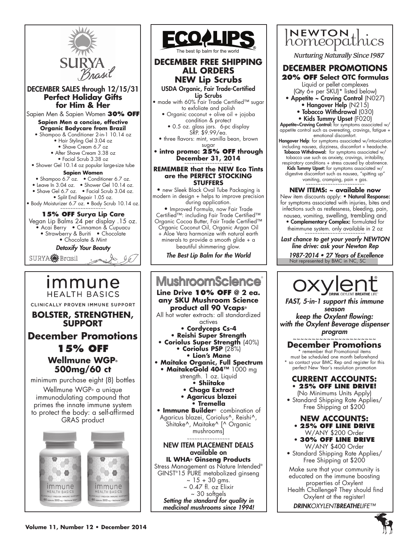

• Leave In 3.04 oz. • Shower Gel 10.14 oz.

SURYA**<sup>OF</sup>**Brasil





### The best lip balm for the world

### **DECEMBER FREE SHIPPING all orders NEW Lip Scrubs**

USDA Organic, Fair Trade-Certified Lip Scrubs

- made with 60% Fair Trade Certified™ sugar to exfoliate and polish
	- Organic coconut + olive oil + jojoba condition & protect
		- 0.5 oz. glass jars. 6-pc display SRP. \$9.99/ea.
	- three flavors: mint, vanilla bean, brown sugar

### • **intro promo: 25% OFF through December 31, 2014**

### **REMEMBER that the NEW Eco Tints are the PERFECT STOCKING STUFFERS**

• new Sleek Black Oval Tube Packaging is modern in design + helps to improve precision during application. • Improved Formula, now Fair Trade Certified™: including Fair Trade Certified™ Organic Cocoa Butter, Fair Trade Certified™ Organic Coconut Oil, Organic Argan Oil + Aloe Vera harmonize with natural earth minerals to provide a smooth glide + a beautiful shimmering glow.

*The Best Lip Balm for the World*

### **MushroomScience Line Drive 10% OFF @ 2 ea. any SKU Mushroom Science product all 90 Vcaps®** All hot water extracts: all standardized actives **• Cordyceps Cs-4 • Reishi Super Strength • Coriolus Super Strength** (40%) **• Coriolus PSP** (28%) **• Lion's Mane • Maitake Organic, Full Spectrum** • MaitakeGold 404™ 1000 mg strength. 1 oz. Liquid **• Shiitake • Chaga Extract • Agaricus blazei • Tremella • Immune Builder**® combination of Agaricus blazei, Coriolus^, Reishi^, Shitake^, Maitake^ [^ Organic mushrooms] ~~~~~~~~~~~~~~~~~ NEW ITEM PLACEMENT DEALS available on **IL WHA® Ginseng Products** Stress Management as Nature Intended<sup>®</sup> GINST® 15 PURE metabolized ginseng  $~\sim$  15 + 30 gms.  $\sim 0.47$  fl. oz Elixir  $\sim$  30 softgels *Setting the standard for quality in medicinal mushrooms since 1994!*



**Nurturing Naturally Since 1987** 

## **DECEMber PROMOTIONS**

- **20% OFF Select OTC formulas**  Liquid or pellet complexes
	- (Qty 6+ per SKU)\* listed below)
- Appetite ~ Craving Control (N027)
- Hangover Help (N215)
	- Tobacco Withdrawal (030) • Kids Tummy Upset (F020)

Appetite~Craving Control: for symptoms associated w/ appetite control such as overeating, cravings, fatigue + emotional discomfort.

- **Hangover Help**: for symptoms associated w/intoxication including nausea, dizziness, discomfort + headache. **Tobacco Withdrawal:** for symptoms associated w/ tobacco use such as anxiety, cravings, irritability,
- respiratory conditions + stress caused by abstinence.<br>**Kids Tummy Upset:** for symptoms associated w/ digestive discomfort such as nausea, "spitting up" vomiting, cramping, pain + gas. ~~~~~~~~~~~~~~~~~~~~

### **NEW ITEMS: ~ available now**

New item discounts apply: • Natural Response: for symptoms associated with injuries, bites and infections such as restlessness, bleeding, pain, nausea, vomiting, swelling, trembling and • Complementary Complex: formulated for theimmune system. only available in 2 oz

Not represented by BMC in NC, SC *Last chance to get your yearly NEWTON line drive: ask your Newton Rep* 1987-2014 • 27 Years of Excellence



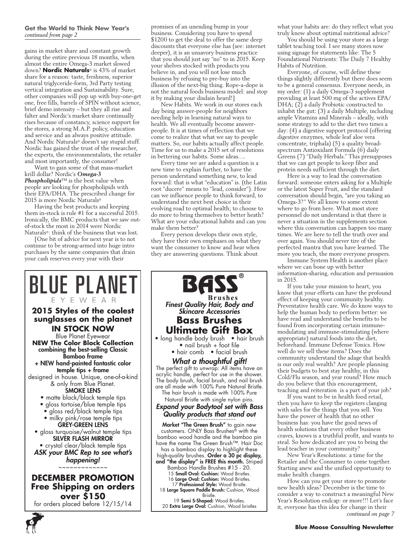### **Get the World to Think New Year's** *continued from page 2*

gains in market share and constant growth during the entire previous 18 months, when almost the entire Omega-3 market slowed down? **Nordic Naturals**® is 43% of market share for a reason: taste, freshness, superior natural triglyceride-form, 3rd Party testing vertical integration and Sustainability. Sure, other companies will pop up with buy-one-get one, free fills, barrels of SPIN without science, brief demo intensity – but they all rise and falter and Nordic's market share continually rises because of constancy, science support for the stores, a strong M.A.P. policy, education and service and an always positive attitude. And Nordic Naturals® doesn't say stupid stuff. Nordic has gained the trust of the researcher, the experts, the environmentalists, the retailer and most importantly, the consumer!

Want to gain some of that mass-market krill dollar? Nordic's *Omega-3 Phospholipids*™ is the best value when people are looking for phospholipids with their EPA/DHA. The prescribed change for 2015 is more Nordic Naturals®

Having the best products and keeping them in-stock is rule #1 for a successful 2015. Ironically, the BMC products that we saw outof-stock the most in 2014 were Nordic Naturals®: think of the business that was lost.

[One bit of advice for next year is to not continue to be strong-armed into huge intro purchases by the same companies that drain your cash reserves every year with their

promises of an unending bump in your business. Considering you have to spend \$1200 to get the deal to offer the same deep discounts that everyone else has (see: internet deeper), it is an unsavory business practice that you should just say "no" to in 2015. Keep your shelves stocked with products you believe in, and you will not lose much business by refusing to pre-buy into the illusion of the next-big thing. Rope-a-dope is not the natural foods business model: and stop it by making your disdain heard!]

New Habits. We work in our stores each day being answer-people for neighbors needing help in learning natural ways to health. We all eventually become answerpeople. It is at times of reflection that we come to realize that what we say to people matters. So, our habits actually affect people. Time for us to make a 2015 set of resolutions in bettering our habits. Some ideas….

Every time we are asked a question is a new time to explain further, to have the person understand something new, to lead forward: that is what "education" is. (the Latin root "ducere" means to "lead, consider"). How can we influence people to think forward, to understand the next best choice in their evolving road to optimal health; to choose to do more to bring themselves to better heath? What are your educational habits and can you make them better?

Every person develops their own style, they have their own emphases on what they want the consumer to know and hear when they are answering questions. Think about



for orders placed before 12/15/14



18 Large Square Paddle Brush: Cushion, Wood Bristle.

19 Semi S-Shaped: Wood Bristles. 20 Extra Large Oval: Cushion, Wood bristles what your habits are: do they reflect what you truly know about optimal nutritional advice?

You should be using your store as a large tablet teaching tool. I see many stores now using signage for statements like: The 5 Foundational Nutrients: The Daily 7 Healthy Habits of Nutrition.

Everyone, of course, will define these things slightly differently but there does seem to be a general consensus. Everyone needs, in my order: (1) a daily Omega-3 supplement providing at least 500 mg of the actives EPA/ DHA; (2) a daily Probiotic constructed to inhabit the gut: (3) a daily Multiple, including ample Vitamins and Minerals – ideally, with some strategy to add to the diet two times a day: (4) a digestive support protocol (offering digestive enzymes, whole leaf aloe vera concentrate, triphala) (5) a quality broadspectrum Antioxidant Formula (6) daily Greens (7) "Daily Herbals." This presupposes that we can get people to keep fiber and protein needs sufficient through the diet.

Here is a way to lead the conversation forward: someone enters asking for a Multiple or the latest Super Fruit, and the standard conversation should begin, "are you taking an Omega-3?" We all know to some extent where to go from here. What most store personnel do not understand is that there is never a situation in the supplements section where this conversation can happen too many times. We are here to tell the truth over and over again. You should never tire of the perfected mantra that you have learned. The more you teach, the more everyone prospers.

Immune System Health is another place where we can bone up with better information-sharing, education and persuasion in 2015.

If you take your mission to heart, you know that your efforts can have the profound effect of keeping your community healthy. Preventative health care. We do know ways to help the human body to perform better: we have read and understand the benefits to be found from incorporating certain immunemodulating and immune-stimulating (where appropriate) natural foods into the diet, beforehand. Immune Defense Tonics. How well do we sell these items? Does the community understand the adage that health is our only real wealth? Are people planning their budgets to best stay healthy, in this Cold/Flu season, and year round? How much do you believe that this encouragement, teaching and reiteration is a part of your job?

If you want to be in health food retail, then you have to keep the registers clanging with sales for the things that you sell. You have the power of health that no other business has: you have the good news of health solutions that every other business craves, knows is a truthful profit, and wants to steal. So how dedicated are you to being the lead teacher in your community?

New Year's Resolutions: a time for the Retailer and the Consumer to come together. Starting anew and the unified opportunity to make health changes.

How can you get your store to promote new health ideas? December is the time to consider a way to construct a meaningful New Year's Resolution endcap: or more!!! Let's face it, everyone has this idea for change in their *continued on page 7*

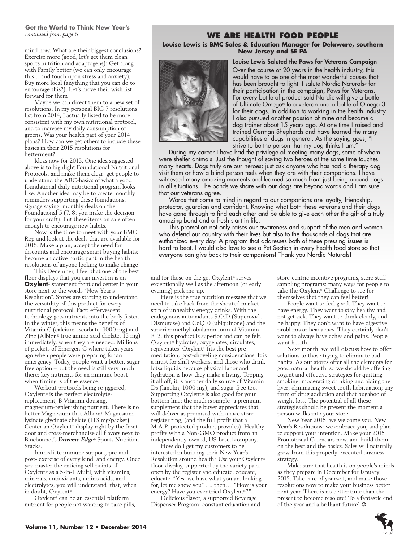### **Get the World to Think New Year's** *continued from page 6*

mind now. What are their biggest conclusions? Exercise more (good, let's get them clean sports nutrition and adaptogens): Get along with Family better (we can only encourage this… and touch upon stress and anxiety); Buy more local (anything that you can do to encourage this?). Let's move their wish list forward for them

Maybe we can direct them to a new set of resolutions. In my personal BIG 7 resolutions list from 2014, I actually listed to be more consistent with my own nutritional protocol, and to increase my daily consumption of greens. Was your health part of your 2014 plans? How can we get others to include these basics in their 2015 resolutions for betterment?

Ideas now for 2015. One idea suggested above is to highlight Foundational Nutritional Protocols, and make them clear: get people to understand the ABC-basics of what a good foundational daily nutritional program looks like. Another idea may be to create monthly reminders supporting these foundations: signage saying, monthly deals on the Foundational 5 (7, 8: you make the decision for your craft). Put these items on sale often enough to encourage new habits.

Now is the time to meet with your BMC Rep and look at the deals that are available for 2015. Make a plan, accept the need for discounts and encourage smart buying habits: become an active participant in the health resolutions of anyone looking to make change!

This December, I feel that one of the best floor displays that you can invest in is an **Oxylent**® statement front and center in your store next to the words "New Year's Resolution". Stores are starting to understand the versatility of this product for every nutritional protocol. Fact: effervescent technology gets nutrients into the body faster. In the winter, this means the benefits of Vitamin C (calcium ascorbate, 1000 mg) and Zinc (Albion® true amino acid chelate, 15 mg) immediately, when they are needed. Millions of packets of Emergen-C where taken years ago when people were preparing for an emergency. Today, people want a better, sugar free option – but the need is still very much there: key nutrients for an immune boost when timing is of the essence.

Workout protocols being re-jiggered, Oxylent® is the perfect electrolytereplacement, B Vitamin dousing, magnesium-replenishing nutrient. There is no better Magnesium that Albion® Magnesium lysinate glycinate chelate (113 mg/packet). Center an Oxylent® display right by the front door and cross-merchandise all flavors next to Bluebonnet's *Extreme Edge*® Sports Nutrition Stacks.

Immediate immune support, pre-and post- exercise of every kind, and energy. Once you master the enticing sell-points of Oxylent® as a 5-in-1 Multi, with vitamins, minerals, antioxidants, amino acids, and electrolytes, you will understand that, when in doubt, Oxylent®.

Oxylent® can be an essential platform nutrient for people not wanting to take pills,

### **We Are Health Food People**

**Louise Lewis is BMC Sales & Education Manager for Delaware, southern New Jersey and SE PA**



Louise Lewis Saluted the Paws for Veterans Campaign Over the course of 20 years in the health industry, this would have to be one of the most wonderful causes that has been brought to light. I salute Nordic Naturals® for their participation in the campaign, Paws for Veterans. For every bottle of product sold Nordic will give a bottle of Ultimate Omega® to a veteran and a bottle of Omega 3 for their dogs. In addition to working in the health industry I also pursued another passion of mine and became a dog trainer about 15 years ago. At one time I raised and trained German Shepherds and have learned the many capabilities of dogs in general. As the saying goes, "I strive to be the person that my dog thinks I am."

During my career I have had the privilege of meeting many dogs, some of whom were shelter animals. Just the thought of saving two heroes at the same time touches many hearts. Dogs truly are our heroes; just ask anyone who has had a therapy dog visit them or how a blind person feels when they are with their companions. I have witnessed many amazing moments and learned so much from just being around dogs in all situations. The bonds we share with our dogs are beyond words and I am sure that our veterans agree.

Words that come to mind in regard to our companions are loyalty, friendship, protector, guardian and confidant. Knowing what both these veterans and their dogs have gone through to find each other and be able to give each other the gift of a truly amazing bond and a fresh start in life.

This promotion not only raises our awareness and support of the men and women who defend our country with their lives but also to the thousands of dogs that are euthanized every day. A program that addresses both of these pressing issues is hard to beat. I would also love to see a Pet Section in every health food store so that everyone can give back to their companions! Thank you Nordic Naturals!

and for those on the go. Oxylent® serves exceptionally well as the afternoon (or early evening) pick-me-up.

Here is the true nutrition message that we need to take back from the shouted market spin of unhealthy energy drinks. With the endogenous antioxidants S.O.D.(Superoxide Dismutase) and CoQ10 (ubiquinone) and the superior methylcobalamin form of Vitamin B12, this product is superior and can be felt. Oxylent® hydrates, oxygenates, circulates, rejuvenates. Oxylent® fits the best premeditation, post-shoveling considerations. It is a must for shift workers, and those who drink lotsa liquids because physical labor and hydration is how they make a living. Topping it all off, it is another daily source of Vitamin Ds (lanolin, 1000 mg), and sugar-free too. Supporting Oxylent® is also good for your bottom line: the math is simple- a premium supplement that the buyer appreciates that will deliver as promised with a nice store register ring, (and the full profit that a M.A.P.-protected product provides). Healthy profits with a Non-GMO product from an independently-owned, US-based company.

How do I get my customers to be interested in building their New Year's Resolution around health? Use your Oxylent® floor-display, supported by the variety pack open by the register and educate, educate, educate. "Yes, we have what you are looking for, let me show you" …. then…. "How is your energy? Have you ever tried Oxylent® ?"

Delicious flavor, a supported Beverage Dispenser Program: constant education and store-centric incentive programs, store staff sampling programs: many ways for people to take the Oxylent® Challenge to see for themselves that they can feel better!

People want to feel good. They want to have energy. They want to stay healthy and not get sick. They want to think clearly, and be happy. They don't want to have digestive problems or headaches. They certainly don't want to always have aches and pains. People want health.

Next month, we will discuss how to offer solutions to those trying to eliminate bad habits. As our stores offer all the elements for good natural health, so we should be offering cogent and effective strategies for quitting smoking: moderating drinking and aiding the liver; eliminating sweet tooth habituation; any form of drug addiction and that bugaboo of weight loss. The potential of all these strategies should be present the moment a person walks into your store.

New Year 2015: we welcome you. New Year's Resolutions: we embrace you, and plan to support your intention. Make your 2015 Promotional Calendars now, and build them on the best and the basics. Sales will naturally grow from this properly-executed business strategy.

Make sure that health is on people's minds as they prepare in December for January 2015. Take care of yourself, and make those resolutions now to make your business better next year. There is no better time than the present to become resolute! To a fantastic end of the year and a brilliant future! ❂